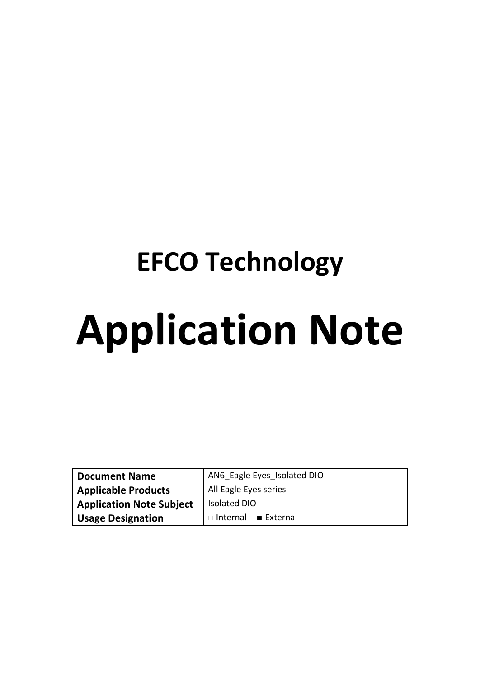# **EFCO Technology Application Note**

| <b>Document Name</b>            | AN6 Eagle Eyes Isolated DIO |  |  |
|---------------------------------|-----------------------------|--|--|
| <b>Applicable Products</b>      | All Eagle Eyes series       |  |  |
| <b>Application Note Subject</b> | <b>Isolated DIO</b>         |  |  |
| <b>Usage Designation</b>        | $\Box$ Internal External    |  |  |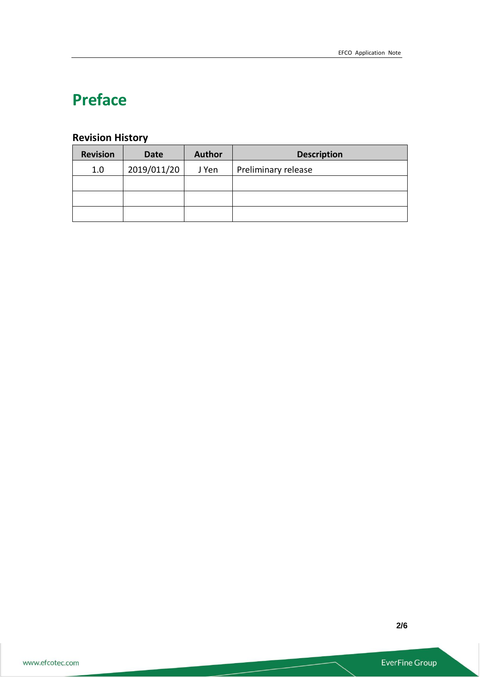# **Preface**

# **Revision History**

| <b>Revision</b> | <b>Date</b> | <b>Author</b> | <b>Description</b>  |
|-----------------|-------------|---------------|---------------------|
| 1.0             | 2019/011/20 | J Yen         | Preliminary release |
|                 |             |               |                     |
|                 |             |               |                     |
|                 |             |               |                     |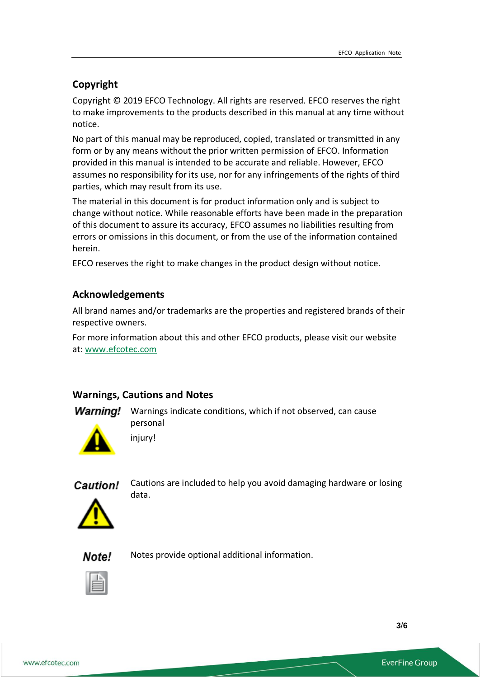### **Copyright**

Copyright © 2019 EFCO Technology. All rights are reserved. EFCO reserves the right to make improvements to the products described in this manual at any time without notice.

No part of this manual may be reproduced, copied, translated or transmitted in any form or by any means without the prior written permission of EFCO. Information provided in this manual is intended to be accurate and reliable. However, EFCO assumes no responsibility for its use, nor for any infringements of the rights of third parties, which may result from its use.

The material in this document is for product information only and is subject to change without notice. While reasonable efforts have been made in the preparation of this document to assure its accuracy, EFCO assumes no liabilities resulting from errors or omissions in this document, or from the use of the information contained herein.

EFCO reserves the right to make changes in the product design without notice.

#### **Acknowledgements**

All brand names and/or trademarks are the properties and registered brands of their respective owners.

For more information about this and other EFCO products, please visit our website at: [www.efcotec.com](file:///C:/Users/PattyWu/Documents/Manual/DMCT/www.efcotec.com)

#### **Warnings, Cautions and Notes**

**Warning!** Warnings indicate conditions, which if not observed, can cause personal



Caution!

Cautions are included to help you avoid damaging hardware or losing data.



Notes provide optional additional information.Note!



**3**/**6**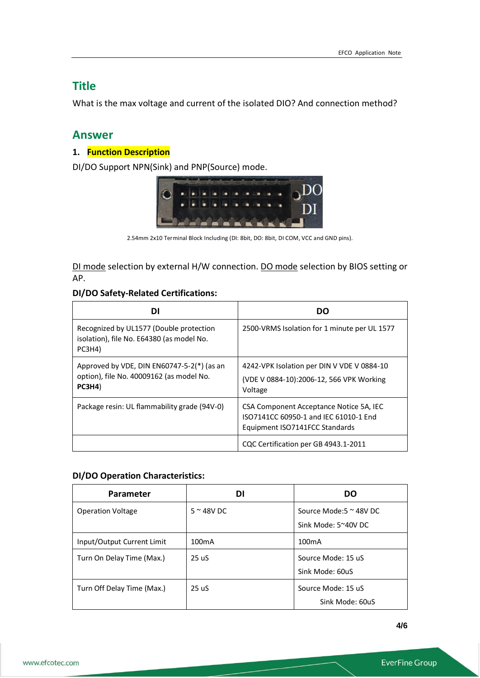# **Title**

What is the max voltage and current of the isolated DIO? And connection method?

## **Answer**

#### **1. Function Description**

DI/DO Support NPN(Sink) and PNP(Source) mode.



2.54mm 2x10 Terminal Block Including (DI: 8bit, DO: 8bit, DI COM, VCC and GND pins).

DI mode selection by external H/W connection. DO mode selection by BIOS setting or AP.

#### **DI/DO Safety-Related Certifications:**

| DI                                                                                                   | DO                                                                                                                 |  |
|------------------------------------------------------------------------------------------------------|--------------------------------------------------------------------------------------------------------------------|--|
| Recognized by UL1577 (Double protection<br>isolation), file No. E64380 (as model No.<br>PC3H4)       | 2500-VRMS Isolation for 1 minute per UL 1577                                                                       |  |
| Approved by VDE, DIN EN60747-5-2( $*$ ) (as an<br>option), file No. 40009162 (as model No.<br>PC3H4) | 4242-VPK Isolation per DIN V VDE V 0884-10<br>(VDE V 0884-10):2006-12, 566 VPK Working<br>Voltage                  |  |
| Package resin: UL flammability grade (94V-0)                                                         | CSA Component Acceptance Notice 5A, IEC<br>ISO7141CC 60950-1 and IEC 61010-1 End<br>Equipment ISO7141FCC Standards |  |
|                                                                                                      | CQC Certification per GB 4943.1-2011                                                                               |  |

#### **DI/DO Operation Characteristics:**

| Parameter                  | DI                 | DO                                                      |
|----------------------------|--------------------|---------------------------------------------------------|
| <b>Operation Voltage</b>   | $5 \approx 48V$ DC | Source Mode: $5 \approx 48$ V DC<br>Sink Mode: 5~40V DC |
| Input/Output Current Limit | 100 <sub>m</sub> A | 100 <sub>m</sub> A                                      |
| Turn On Delay Time (Max.)  | 25 uS              | Source Mode: 15 uS<br>Sink Mode: 60uS                   |
| Turn Off Delay Time (Max.) | 25 uS              | Source Mode: 15 uS<br>Sink Mode: 60uS                   |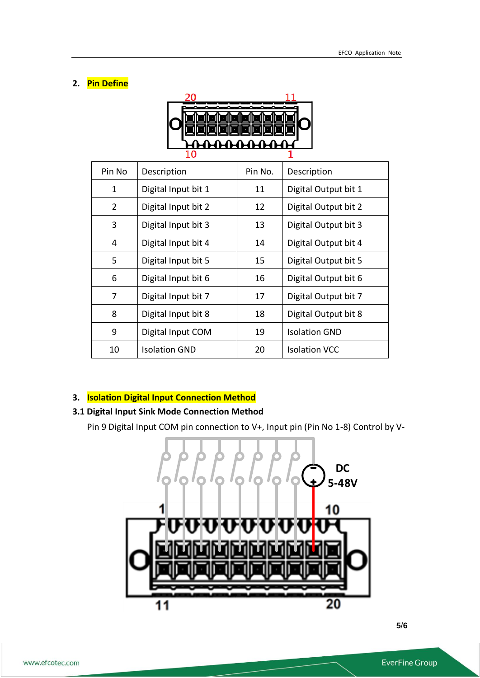#### **2. Pin Define**



| Pin No         | Description          | Pin No. | Description          |
|----------------|----------------------|---------|----------------------|
| $\mathbf{1}$   | Digital Input bit 1  | 11      | Digital Output bit 1 |
| $\overline{2}$ | Digital Input bit 2  | 12      | Digital Output bit 2 |
| 3              | Digital Input bit 3  | 13      | Digital Output bit 3 |
| 4              | Digital Input bit 4  | 14      | Digital Output bit 4 |
| 5              | Digital Input bit 5  | 15      | Digital Output bit 5 |
| 6              | Digital Input bit 6  | 16      | Digital Output bit 6 |
| 7              | Digital Input bit 7  | 17      | Digital Output bit 7 |
| 8              | Digital Input bit 8  | 18      | Digital Output bit 8 |
| 9              | Digital Input COM    | 19      | <b>Isolation GND</b> |
| 10             | <b>Isolation GND</b> | 20      | <b>Isolation VCC</b> |

#### **3. Isolation Digital Input Connection Method**

# **3.1 Digital Input Sink Mode Connection Method**

Pin 9 Digital Input COM pin connection to V+, Input pin (Pin No 1-8) Control by V-